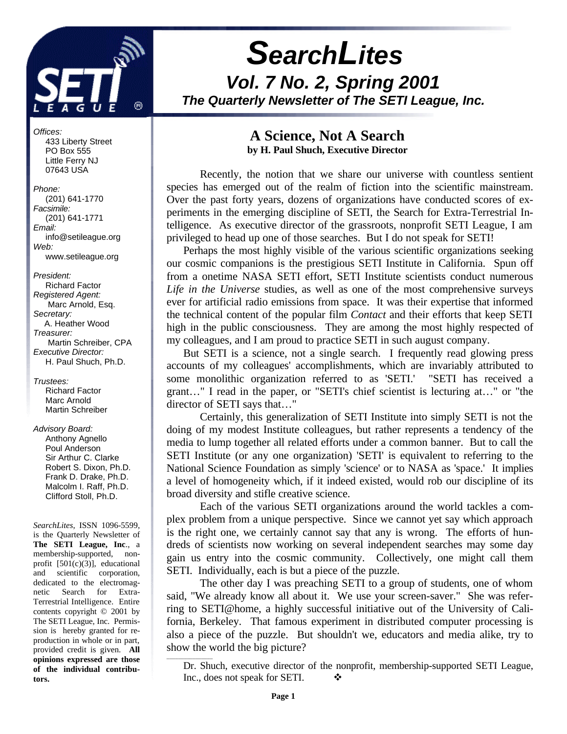

# *SearchLites Vol. 7 No. 2, Spring 2001 The Quarterly Newsletter of The SETI League, Inc.*

*Offices:*

 433 Liberty Street PO Box 555 Little Ferry NJ 07643 USA

*Phone:* (201) 641-1770 *Facsimile:* (201) 641-1771 *Email:* info@setileague.org *Web:* www.setileague.org

*President:* Richard Factor *Registered Agent:*  Marc Arnold, Esq. *Secretary:* A. Heather Wood *Treasurer:*  Martin Schreiber, CPA *Executive Director:* H. Paul Shuch, Ph.D.

*Trustees:* **Richard Factor**  Marc Arnold Martin Schreiber

#### *Advisory Board:*

 Anthony Agnello Poul Anderson Sir Arthur C. Clarke Robert S. Dixon, Ph.D. Frank D. Drake, Ph.D. Malcolm I. Raff, Ph.D. Clifford Stoll, Ph.D.

*SearchLites*, ISSN 1096-5599, is the Quarterly Newsletter of **The SETI League, Inc**., a membership-supported, nonprofit [501(c)(3)], educational and scientific corporation, dedicated to the electromagnetic Search for Extra-Terrestrial Intelligence. Entire contents copyright © 2001 by The SETI League, Inc. Permission is hereby granted for reproduction in whole or in part, provided credit is given. **All opinions expressed are those of the individual contributors.**

### **A Science, Not A Search by H. Paul Shuch, Executive Director**

Recently, the notion that we share our universe with countless sentient species has emerged out of the realm of fiction into the scientific mainstream. Over the past forty years, dozens of organizations have conducted scores of experiments in the emerging discipline of SETI, the Search for Extra-Terrestrial Intelligence. As executive director of the grassroots, nonprofit SETI League, I am privileged to head up one of those searches. But I do not speak for SETI!

Perhaps the most highly visible of the various scientific organizations seeking our cosmic companions is the prestigious SETI Institute in California. Spun off from a onetime NASA SETI effort, SETI Institute scientists conduct numerous *Life in the Universe* studies, as well as one of the most comprehensive surveys ever for artificial radio emissions from space. It was their expertise that informed the technical content of the popular film *Contact* and their efforts that keep SETI high in the public consciousness. They are among the most highly respected of my colleagues, and I am proud to practice SETI in such august company.

But SETI is a science, not a single search. I frequently read glowing press accounts of my colleagues' accomplishments, which are invariably attributed to some monolithic organization referred to as 'SETI.' "SETI has received a grant…" I read in the paper, or "SETI's chief scientist is lecturing at…" or "the director of SETI says that…"

Certainly, this generalization of SETI Institute into simply SETI is not the doing of my modest Institute colleagues, but rather represents a tendency of the media to lump together all related efforts under a common banner. But to call the SETI Institute (or any one organization) 'SETI' is equivalent to referring to the National Science Foundation as simply 'science' or to NASA as 'space.' It implies a level of homogeneity which, if it indeed existed, would rob our discipline of its broad diversity and stifle creative science.

Each of the various SETI organizations around the world tackles a complex problem from a unique perspective. Since we cannot yet say which approach is the right one, we certainly cannot say that any is wrong. The efforts of hundreds of scientists now working on several independent searches may some day gain us entry into the cosmic community. Collectively, one might call them SETI. Individually, each is but a piece of the puzzle.

The other day I was preaching SETI to a group of students, one of whom said, "We already know all about it. We use your screen-saver." She was referring to SETI@home, a highly successful initiative out of the University of California, Berkeley. That famous experiment in distributed computer processing is also a piece of the puzzle. But shouldn't we, educators and media alike, try to show the world the big picture?

\_\_\_\_\_\_\_\_\_\_\_\_\_\_\_\_

Dr. Shuch, executive director of the nonprofit, membership-supported SETI League, Inc., does not speak for SETI.  $\bullet$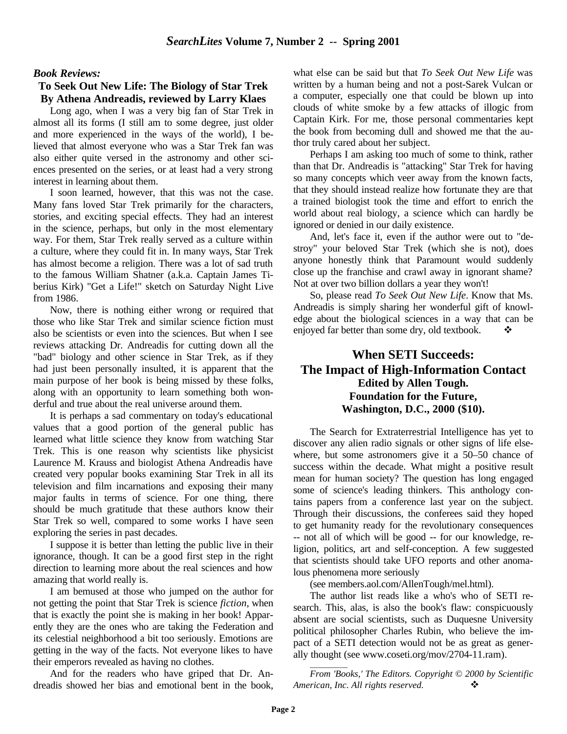#### *Book Reviews:*

### **To Seek Out New Life: The Biology of Star Trek By Athena Andreadis, reviewed by Larry Klaes**

Long ago, when I was a very big fan of Star Trek in almost all its forms (I still am to some degree, just older and more experienced in the ways of the world), I believed that almost everyone who was a Star Trek fan was also either quite versed in the astronomy and other sciences presented on the series, or at least had a very strong interest in learning about them.

I soon learned, however, that this was not the case. Many fans loved Star Trek primarily for the characters, stories, and exciting special effects. They had an interest in the science, perhaps, but only in the most elementary way. For them, Star Trek really served as a culture within a culture, where they could fit in. In many ways, Star Trek has almost become a religion. There was a lot of sad truth to the famous William Shatner (a.k.a. Captain James Tiberius Kirk) "Get a Life!" sketch on Saturday Night Live from 1986.

Now, there is nothing either wrong or required that those who like Star Trek and similar science fiction must also be scientists or even into the sciences. But when I see reviews attacking Dr. Andreadis for cutting down all the "bad" biology and other science in Star Trek, as if they had just been personally insulted, it is apparent that the main purpose of her book is being missed by these folks, along with an opportunity to learn something both wonderful and true about the real universe around them.

It is perhaps a sad commentary on today's educational values that a good portion of the general public has learned what little science they know from watching Star Trek. This is one reason why scientists like physicist Laurence M. Krauss and biologist Athena Andreadis have created very popular books examining Star Trek in all its television and film incarnations and exposing their many major faults in terms of science. For one thing, there should be much gratitude that these authors know their Star Trek so well, compared to some works I have seen exploring the series in past decades.

I suppose it is better than letting the public live in their ignorance, though. It can be a good first step in the right direction to learning more about the real sciences and how amazing that world really is.

I am bemused at those who jumped on the author for not getting the point that Star Trek is science *fiction*, when that is exactly the point she is making in her book! Apparently they are the ones who are taking the Federation and its celestial neighborhood a bit too seriously. Emotions are getting in the way of the facts. Not everyone likes to have their emperors revealed as having no clothes.

And for the readers who have griped that Dr. Andreadis showed her bias and emotional bent in the book, what else can be said but that *To Seek Out New Life* was written by a human being and not a post-Sarek Vulcan or a computer, especially one that could be blown up into clouds of white smoke by a few attacks of illogic from Captain Kirk. For me, those personal commentaries kept the book from becoming dull and showed me that the author truly cared about her subject.

Perhaps I am asking too much of some to think, rather than that Dr. Andreadis is "attacking" Star Trek for having so many concepts which veer away from the known facts, that they should instead realize how fortunate they are that a trained biologist took the time and effort to enrich the world about real biology, a science which can hardly be ignored or denied in our daily existence.

And, let's face it, even if the author were out to "destroy" your beloved Star Trek (which she is not), does anyone honestly think that Paramount would suddenly close up the franchise and crawl away in ignorant shame? Not at over two billion dollars a year they won't!

So, please read *To Seek Out New Life*. Know that Ms. Andreadis is simply sharing her wonderful gift of knowledge about the biological sciences in a way that can be enjoyed far better than some dry, old textbook.

### **When SETI Succeeds: The Impact of High-Information Contact Edited by Allen Tough. Foundation for the Future, Washington, D.C., 2000 (\$10).**

The Search for Extraterrestrial Intelligence has yet to discover any alien radio signals or other signs of life elsewhere, but some astronomers give it a 50–50 chance of success within the decade. What might a positive result mean for human society? The question has long engaged some of science's leading thinkers. This anthology contains papers from a conference last year on the subject. Through their discussions, the conferees said they hoped to get humanity ready for the revolutionary consequences -- not all of which will be good -- for our knowledge, religion, politics, art and self-conception. A few suggested that scientists should take UFO reports and other anomalous phenomena more seriously

(see members.aol.com/AllenTough/mel.html).

The author list reads like a who's who of SETI research. This, alas, is also the book's flaw: conspicuously absent are social scientists, such as Duquesne University political philosopher Charles Rubin, who believe the impact of a SETI detection would not be as great as generally thought (see www.coseti.org/mov/2704-11.ram).

*From 'Books,' The Editors. Copyright © 2000 by Scientific American, Inc. All rights reserved.* v

\_\_\_\_\_\_\_\_\_\_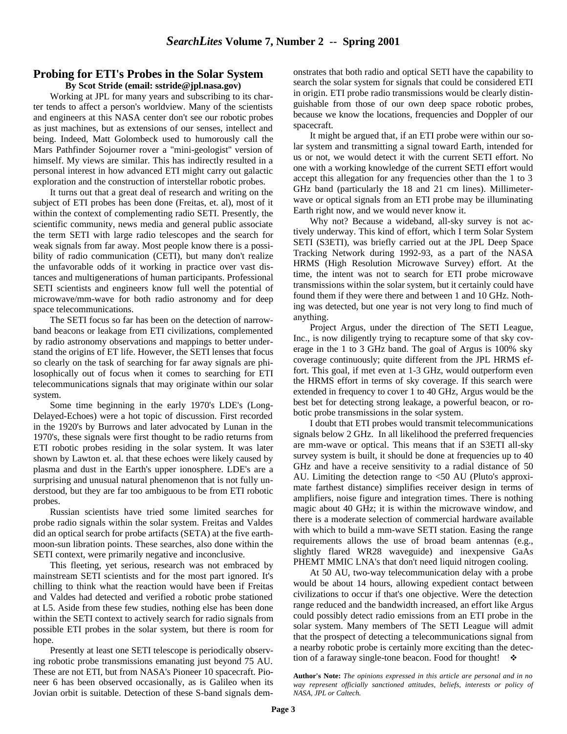## **Probing for ETI's Probes in the Solar System**

**By Scot Stride (email: sstride@jpl.nasa.gov)**

Working at JPL for many years and subscribing to its charter tends to affect a person's worldview. Many of the scientists and engineers at this NASA center don't see our robotic probes as just machines, but as extensions of our senses, intellect and being. Indeed, Matt Golombeck used to humorously call the Mars Pathfinder Sojourner rover a "mini-geologist" version of himself. My views are similar. This has indirectly resulted in a personal interest in how advanced ETI might carry out galactic exploration and the construction of interstellar robotic probes.

It turns out that a great deal of research and writing on the subject of ETI probes has been done (Freitas, et. al), most of it within the context of complementing radio SETI. Presently, the scientific community, news media and general public associate the term SETI with large radio telescopes and the search for weak signals from far away. Most people know there is a possibility of radio communication (CETI), but many don't realize the unfavorable odds of it working in practice over vast distances and multigenerations of human participants. Professional SETI scientists and engineers know full well the potential of microwave/mm-wave for both radio astronomy and for deep space telecommunications.

The SETI focus so far has been on the detection of narrowband beacons or leakage from ETI civilizations, complemented by radio astronomy observations and mappings to better understand the origins of ET life. However, the SETI lenses that focus so clearly on the task of searching for far away signals are philosophically out of focus when it comes to searching for ETI telecommunications signals that may originate within our solar system.

Some time beginning in the early 1970's LDE's (Long-Delayed-Echoes) were a hot topic of discussion. First recorded in the 1920's by Burrows and later advocated by Lunan in the 1970's, these signals were first thought to be radio returns from ETI robotic probes residing in the solar system. It was later shown by Lawton et. al. that these echoes were likely caused by plasma and dust in the Earth's upper ionosphere. LDE's are a surprising and unusual natural phenomenon that is not fully understood, but they are far too ambiguous to be from ETI robotic probes.

Russian scientists have tried some limited searches for probe radio signals within the solar system. Freitas and Valdes did an optical search for probe artifacts (SETA) at the five earthmoon-sun libration points. These searches, also done within the SETI context, were primarily negative and inconclusive.

This fleeting, yet serious, research was not embraced by mainstream SETI scientists and for the most part ignored. It's chilling to think what the reaction would have been if Freitas and Valdes had detected and verified a robotic probe stationed at L5. Aside from these few studies, nothing else has been done within the SETI context to actively search for radio signals from possible ETI probes in the solar system, but there is room for hope.

Presently at least one SETI telescope is periodically observing robotic probe transmissions emanating just beyond 75 AU. These are not ETI, but from NASA's Pioneer 10 spacecraft. Pioneer 6 has been observed occasionally, as is Galileo when its Jovian orbit is suitable. Detection of these S-band signals demonstrates that both radio and optical SETI have the capability to search the solar system for signals that could be considered ETI in origin. ETI probe radio transmissions would be clearly distinguishable from those of our own deep space robotic probes, because we know the locations, frequencies and Doppler of our spacecraft.

It might be argued that, if an ETI probe were within our solar system and transmitting a signal toward Earth, intended for us or not, we would detect it with the current SETI effort. No one with a working knowledge of the current SETI effort would accept this allegation for any frequencies other than the 1 to 3 GHz band (particularly the 18 and 21 cm lines). Millimeterwave or optical signals from an ETI probe may be illuminating Earth right now, and we would never know it.

Why not? Because a wideband, all-sky survey is not actively underway. This kind of effort, which I term Solar System SETI (S3ETI), was briefly carried out at the JPL Deep Space Tracking Network during 1992-93, as a part of the NASA HRMS (High Resolution Microwave Survey) effort. At the time, the intent was not to search for ETI probe microwave transmissions within the solar system, but it certainly could have found them if they were there and between 1 and 10 GHz. Nothing was detected, but one year is not very long to find much of anything.

Project Argus, under the direction of The SETI League, Inc., is now diligently trying to recapture some of that sky coverage in the 1 to 3 GHz band. The goal of Argus is 100% sky coverage continuously; quite different from the JPL HRMS effort. This goal, if met even at 1-3 GHz, would outperform even the HRMS effort in terms of sky coverage. If this search were extended in frequency to cover 1 to 40 GHz, Argus would be the best bet for detecting strong leakage, a powerful beacon, or robotic probe transmissions in the solar system.

I doubt that ETI probes would transmit telecommunications signals below 2 GHz. In all likelihood the preferred frequencies are mm-wave or optical. This means that if an S3ETI all-sky survey system is built, it should be done at frequencies up to 40 GHz and have a receive sensitivity to a radial distance of 50 AU. Limiting the detection range to <50 AU (Pluto's approximate farthest distance) simplifies receiver design in terms of amplifiers, noise figure and integration times. There is nothing magic about 40 GHz; it is within the microwave window, and there is a moderate selection of commercial hardware available with which to build a mm-wave SETI station. Easing the range requirements allows the use of broad beam antennas (e.g., slightly flared WR28 waveguide) and inexpensive GaAs PHEMT MMIC LNA's that don't need liquid nitrogen cooling.

At 50 AU, two-way telecommunication delay with a probe would be about 14 hours, allowing expedient contact between civilizations to occur if that's one objective. Were the detection range reduced and the bandwidth increased, an effort like Argus could possibly detect radio emissions from an ETI probe in the solar system. Many members of The SETI League will admit that the prospect of detecting a telecommunications signal from a nearby robotic probe is certainly more exciting than the detection of a faraway single-tone beacon. Food for thought!  $\cdot$ 

**Author's Note:** *The opinions expressed in this article are personal and in no way represent officially sanctioned attitudes, beliefs, interests or policy of NASA, JPL or Caltech.*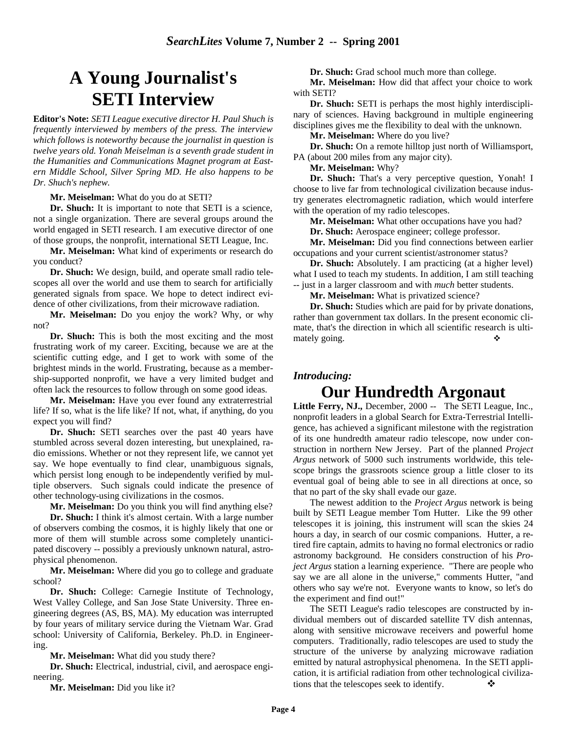# **A Young Journalist's SETI Interview**

**Editor's Note:** *SETI League executive director H. Paul Shuch is frequently interviewed by members of the press. The interview which follows is noteworthy because the journalist in question is twelve years old. Yonah Meiselman is a seventh grade student in the Humanities and Communications Magnet program at Eastern Middle School, Silver Spring MD. He also happens to be Dr. Shuch's nephew.*

**Mr. Meiselman:** What do you do at SETI?

**Dr. Shuch:** It is important to note that SETI is a science, not a single organization. There are several groups around the world engaged in SETI research. I am executive director of one of those groups, the nonprofit, international SETI League, Inc.

**Mr. Meiselman:** What kind of experiments or research do you conduct?

**Dr. Shuch:** We design, build, and operate small radio telescopes all over the world and use them to search for artificially generated signals from space. We hope to detect indirect evidence of other civilizations, from their microwave radiation.

**Mr. Meiselman:** Do you enjoy the work? Why, or why not?

**Dr. Shuch:** This is both the most exciting and the most frustrating work of my career. Exciting, because we are at the scientific cutting edge, and I get to work with some of the brightest minds in the world. Frustrating, because as a membership-supported nonprofit, we have a very limited budget and often lack the resources to follow through on some good ideas.

**Mr. Meiselman:** Have you ever found any extraterrestrial life? If so, what is the life like? If not, what, if anything, do you expect you will find?

**Dr. Shuch:** SETI searches over the past 40 years have stumbled across several dozen interesting, but unexplained, radio emissions. Whether or not they represent life, we cannot yet say. We hope eventually to find clear, unambiguous signals, which persist long enough to be independently verified by multiple observers. Such signals could indicate the presence of other technology-using civilizations in the cosmos.

**Mr. Meiselman:** Do you think you will find anything else?

**Dr. Shuch:** I think it's almost certain. With a large number of observers combing the cosmos, it is highly likely that one or more of them will stumble across some completely unanticipated discovery -- possibly a previously unknown natural, astrophysical phenomenon.

**Mr. Meiselman:** Where did you go to college and graduate school?

**Dr. Shuch:** College: Carnegie Institute of Technology, West Valley College, and San Jose State University. Three engineering degrees (AS, BS, MA). My education was interrupted by four years of military service during the Vietnam War. Grad school: University of California, Berkeley. Ph.D. in Engineering.

**Mr. Meiselman:** What did you study there?

**Dr. Shuch:** Electrical, industrial, civil, and aerospace engineering.

**Mr. Meiselman:** Did you like it?

**Dr. Shuch:** Grad school much more than college.

**Mr. Meiselman:** How did that affect your choice to work with SETI?

**Dr. Shuch:** SETI is perhaps the most highly interdisciplinary of sciences. Having background in multiple engineering disciplines gives me the flexibility to deal with the unknown.

**Mr. Meiselman:** Where do you live?

**Dr. Shuch:** On a remote hilltop just north of Williamsport, PA (about 200 miles from any major city).

**Mr. Meiselman:** Why?

**Dr. Shuch:** That's a very perceptive question, Yonah! I choose to live far from technological civilization because industry generates electromagnetic radiation, which would interfere with the operation of my radio telescopes.

**Mr. Meiselman:** What other occupations have you had?

**Dr. Shuch:** Aerospace engineer; college professor.

**Mr. Meiselman:** Did you find connections between earlier occupations and your current scientist/astronomer status?

**Dr. Shuch:** Absolutely. I am practicing (at a higher level) what I used to teach my students. In addition, I am still teaching -- just in a larger classroom and with *much* better students.

**Mr. Meiselman:** What is privatized science?

**Dr. Shuch:** Studies which are paid for by private donations, rather than government tax dollars. In the present economic climate, that's the direction in which all scientific research is ultimately going.

# *Introducing:*

# **Our Hundredth Argonaut**

Little Ferry, NJ., December, 2000 -- The SETI League, Inc., nonprofit leaders in a global Search for Extra-Terrestrial Intelligence, has achieved a significant milestone with the registration of its one hundredth amateur radio telescope, now under construction in northern New Jersey. Part of the planned *Project Argus* network of 5000 such instruments worldwide, this telescope brings the grassroots science group a little closer to its eventual goal of being able to see in all directions at once, so that no part of the sky shall evade our gaze.

The newest addition to the *Project Argus* network is being built by SETI League member Tom Hutter. Like the 99 other telescopes it is joining, this instrument will scan the skies 24 hours a day, in search of our cosmic companions. Hutter, a retired fire captain, admits to having no formal electronics or radio astronomy background. He considers construction of his *Project Argus* station a learning experience. "There are people who say we are all alone in the universe," comments Hutter, "and others who say we're not. Everyone wants to know, so let's do the experiment and find out!"

The SETI League's radio telescopes are constructed by individual members out of discarded satellite TV dish antennas, along with sensitive microwave receivers and powerful home computers. Traditionally, radio telescopes are used to study the structure of the universe by analyzing microwave radiation emitted by natural astrophysical phenomena. In the SETI application, it is artificial radiation from other technological civilizations that the telescopes seek to identify.  $\bullet$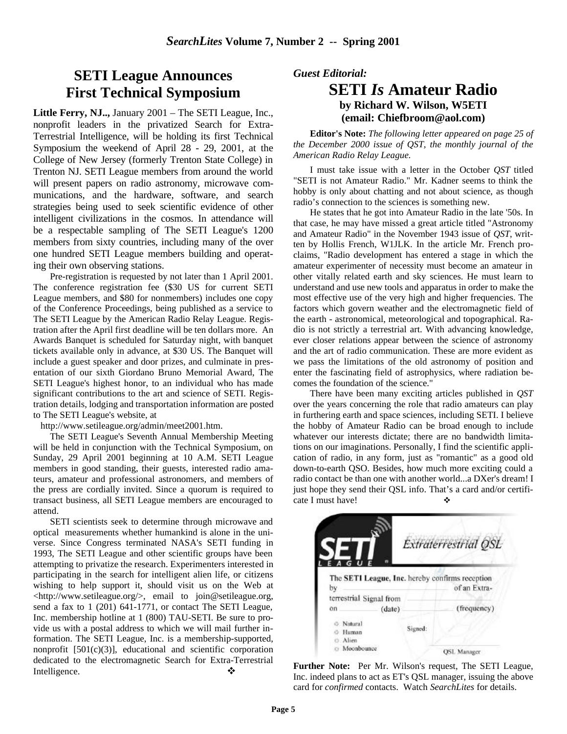# **SETI League Announces First Technical Symposium**

**Little Ferry, NJ..,** January 2001 – The SETI League, Inc., nonprofit leaders in the privatized Search for Extra-Terrestrial Intelligence, will be holding its first Technical Symposium the weekend of April 28 - 29, 2001, at the College of New Jersey (formerly Trenton State College) in Trenton NJ. SETI League members from around the world will present papers on radio astronomy, microwave communications, and the hardware, software, and search strategies being used to seek scientific evidence of other intelligent civilizations in the cosmos. In attendance will be a respectable sampling of The SETI League's 1200 members from sixty countries, including many of the over one hundred SETI League members building and operating their own observing stations.

Pre-registration is requested by not later than 1 April 2001. The conference registration fee (\$30 US for current SETI League members, and \$80 for nonmembers) includes one copy of the Conference Proceedings, being published as a service to The SETI League by the American Radio Relay League. Registration after the April first deadline will be ten dollars more. An Awards Banquet is scheduled for Saturday night, with banquet tickets available only in advance, at \$30 US. The Banquet will include a guest speaker and door prizes, and culminate in presentation of our sixth Giordano Bruno Memorial Award, The SETI League's highest honor, to an individual who has made significant contributions to the art and science of SETI. Registration details, lodging and transportation information are posted to The SETI League's website, at

http://www.setileague.org/admin/meet2001.htm.

The SETI League's Seventh Annual Membership Meeting will be held in conjunction with the Technical Symposium, on Sunday, 29 April 2001 beginning at 10 A.M. SETI League members in good standing, their guests, interested radio amateurs, amateur and professional astronomers, and members of the press are cordially invited. Since a quorum is required to transact business, all SETI League members are encouraged to attend.

SETI scientists seek to determine through microwave and optical measurements whether humankind is alone in the universe. Since Congress terminated NASA's SETI funding in 1993, The SETI League and other scientific groups have been attempting to privatize the research. Experimenters interested in participating in the search for intelligent alien life, or citizens wishing to help support it, should visit us on the Web at <http://www.setileague.org/>, email to join@setileague.org, send a fax to 1 (201) 641-1771, or contact The SETI League, Inc. membership hotline at 1 (800) TAU-SETI. Be sure to provide us with a postal address to which we will mail further information. The SETI League, Inc. is a membership-supported, nonprofit  $[501(c)(3)]$ , educational and scientific corporation dedicated to the electromagnetic Search for Extra-Terrestrial Intelligence. ❖

*Guest Editorial:*

# **SETI** *Is* **Amateur Radio by Richard W. Wilson, W5ETI (email: Chiefbroom@aol.com)**

**Editor's Note:** *The following letter appeared on page 25 of the December 2000 issue of QST, the monthly journal of the American Radio Relay League.*

I must take issue with a letter in the October *QST* titled "SETI is not Amateur Radio." Mr. Kadner seems to think the hobby is only about chatting and not about science, as though radio's connection to the sciences is something new.

He states that he got into Amateur Radio in the late '50s. In that case, he may have missed a great article titled "Astronomy and Amateur Radio" in the November 1943 issue of *QST*, written by Hollis French, W1JLK. In the article Mr. French proclaims, "Radio development has entered a stage in which the amateur experimenter of necessity must become an amateur in other vitally related earth and sky sciences. He must learn to understand and use new tools and apparatus in order to make the most effective use of the very high and higher frequencies. The factors which govern weather and the electromagnetic field of the earth - astronomical, meteorological and topographical. Radio is not strictly a terrestrial art. With advancing knowledge, ever closer relations appear between the science of astronomy and the art of radio communication. These are more evident as we pass the limitations of the old astronomy of position and enter the fascinating field of astrophysics, where radiation becomes the foundation of the science."

There have been many exciting articles published in *QST* over the years concerning the role that radio amateurs can play in furthering earth and space sciences, including SETI. I believe the hobby of Amateur Radio can be broad enough to include whatever our interests dictate; there are no bandwidth limitations on our imaginations. Personally, I find the scientific application of radio, in any form, just as "romantic" as a good old down-to-earth QSO. Besides, how much more exciting could a radio contact be than one with another world...a DXer's dream! I just hope they send their QSL info. That's a card and/or certificate I must have!

|                   |                                                 | Extraterrestrial OSL |
|-------------------|-------------------------------------------------|----------------------|
|                   |                                                 |                      |
|                   | The SETI League, Inc. hereby confirms reception |                      |
|                   |                                                 |                      |
|                   |                                                 | of an Extra-         |
|                   |                                                 |                      |
|                   | terrestrial Signal from<br>(date)               | (frequency)          |
| <b>Natural</b>    |                                                 |                      |
| by<br>on<br>Human | Signed:                                         |                      |

**Further Note:** Per Mr. Wilson's request, The SETI League, Inc. indeed plans to act as ET's QSL manager, issuing the above card for *confirmed* contacts. Watch *SearchLites* for details.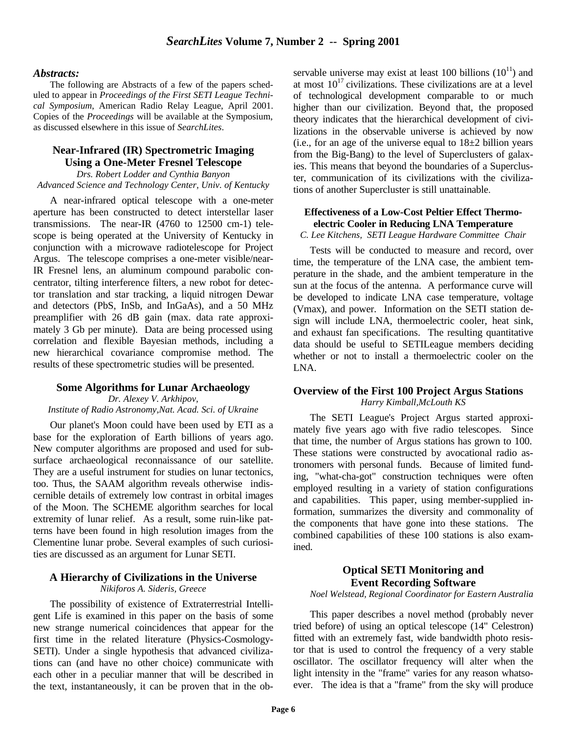#### *Abstracts:*

The following are Abstracts of a few of the papers scheduled to appear in *Proceedings of the First SETI League Technical Symposium*, American Radio Relay League, April 2001. Copies of the *Proceedings* will be available at the Symposium, as discussed elsewhere in this issue of *SearchLites*.

### **Near-Infrared (IR) Spectrometric Imaging Using a One-Meter Fresnel Telescope**

*Drs. Robert Lodder and Cynthia Banyon Advanced Science and Technology Center, Univ. of Kentucky*

A near-infrared optical telescope with a one-meter aperture has been constructed to detect interstellar laser transmissions. The near-IR (4760 to 12500 cm-1) telescope is being operated at the University of Kentucky in conjunction with a microwave radiotelescope for Project Argus. The telescope comprises a one-meter visible/near-IR Fresnel lens, an aluminum compound parabolic concentrator, tilting interference filters, a new robot for detector translation and star tracking, a liquid nitrogen Dewar and detectors (PbS, InSb, and InGaAs), and a 50 MHz preamplifier with 26 dB gain (max. data rate approximately 3 Gb per minute). Data are being processed using correlation and flexible Bayesian methods, including a new hierarchical covariance compromise method. The results of these spectrometric studies will be presented.

### **Some Algorithms for Lunar Archaeology**

*Dr. Alexey V. Arkhipov, Institute of Radio Astronomy,Nat. Acad. Sci. of Ukraine*

Our planet's Moon could have been used by ETI as a base for the exploration of Earth billions of years ago. New computer algorithms are proposed and used for subsurface archaeological reconnaissance of our satellite. They are a useful instrument for studies on lunar tectonics, too. Thus, the SAAM algorithm reveals otherwise indiscernible details of extremely low contrast in orbital images of the Moon. The SCHEME algorithm searches for local extremity of lunar relief. As a result, some ruin-like patterns have been found in high resolution images from the Clementine lunar probe. Several examples of such curiosities are discussed as an argument for Lunar SETI.

# **A Hierarchy of Civilizations in the Universe**

*Nikiforos A. Sideris, Greece*

The possibility of existence of Extraterrestrial Intelligent Life is examined in this paper on the basis of some new strange numerical coincidences that appear for the first time in the related literature (Physics-Cosmology-SETI). Under a single hypothesis that advanced civilizations can (and have no other choice) communicate with each other in a peculiar manner that will be described in the text, instantaneously, it can be proven that in the observable universe may exist at least 100 billions  $(10^{11})$  and at most  $10^{17}$  civilizations. These civilizations are at a level of technological development comparable to or much higher than our civilization. Beyond that, the proposed theory indicates that the hierarchical development of civilizations in the observable universe is achieved by now (i.e., for an age of the universe equal to  $18\pm2$  billion years from the Big-Bang) to the level of Superclusters of galaxies. This means that beyond the boundaries of a Supercluster, communication of its civilizations with the civilizations of another Supercluster is still unattainable.

### **Effectiveness of a Low-Cost Peltier Effect Thermoelectric Cooler in Reducing LNA Temperature**

*C. Lee Kitchens, SETI League Hardware Committee Chair*

Tests will be conducted to measure and record, over time, the temperature of the LNA case, the ambient temperature in the shade, and the ambient temperature in the sun at the focus of the antenna. A performance curve will be developed to indicate LNA case temperature, voltage (Vmax), and power. Information on the SETI station design will include LNA, thermoelectric cooler, heat sink, and exhaust fan specifications. The resulting quantitative data should be useful to SETILeague members deciding whether or not to install a thermoelectric cooler on the LNA.

### **Overview of the First 100 Project Argus Stations** *Harry Kimball,McLouth KS*

The SETI League's Project Argus started approximately five years ago with five radio telescopes. Since that time, the number of Argus stations has grown to 100. These stations were constructed by avocational radio astronomers with personal funds. Because of limited funding, "what-cha-got" construction techniques were often employed resulting in a variety of station configurations and capabilities. This paper, using member-supplied information, summarizes the diversity and commonality of the components that have gone into these stations. The combined capabilities of these 100 stations is also examined.

### **Optical SETI Monitoring and Event Recording Software**

#### *Noel Welstead, Regional Coordinator for Eastern Australia*

This paper describes a novel method (probably never tried before) of using an optical telescope (14" Celestron) fitted with an extremely fast, wide bandwidth photo resistor that is used to control the frequency of a very stable oscillator. The oscillator frequency will alter when the light intensity in the "frame" varies for any reason whatsoever. The idea is that a "frame" from the sky will produce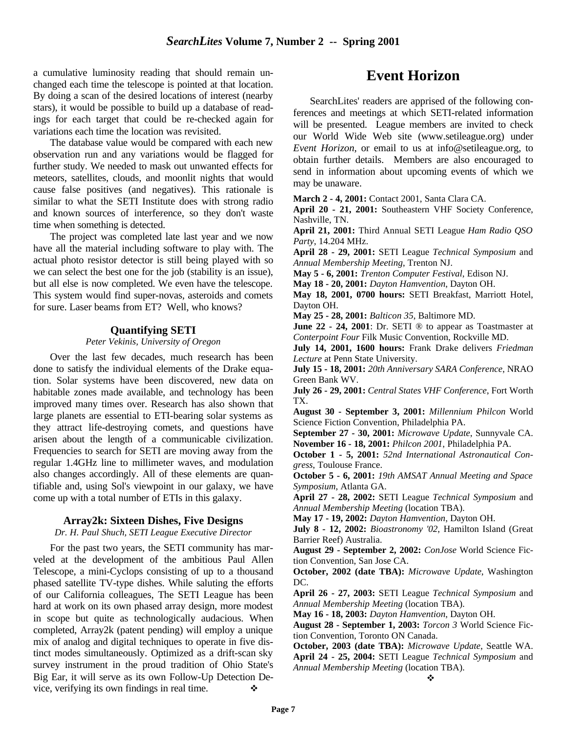a cumulative luminosity reading that should remain unchanged each time the telescope is pointed at that location. By doing a scan of the desired locations of interest (nearby stars), it would be possible to build up a database of readings for each target that could be re-checked again for variations each time the location was revisited.

The database value would be compared with each new observation run and any variations would be flagged for further study. We needed to mask out unwanted effects for meteors, satellites, clouds, and moonlit nights that would cause false positives (and negatives). This rationale is similar to what the SETI Institute does with strong radio and known sources of interference, so they don't waste time when something is detected.

The project was completed late last year and we now have all the material including software to play with. The actual photo resistor detector is still being played with so we can select the best one for the job (stability is an issue), but all else is now completed. We even have the telescope. This system would find super-novas, asteroids and comets for sure. Laser beams from ET? Well, who knows?

#### **Quantifying SETI**

### *Peter Vekinis, University of Oregon*

Over the last few decades, much research has been done to satisfy the individual elements of the Drake equation. Solar systems have been discovered, new data on habitable zones made available, and technology has been improved many times over. Research has also shown that large planets are essential to ETI-bearing solar systems as they attract life-destroying comets, and questions have arisen about the length of a communicable civilization. Frequencies to search for SETI are moving away from the regular 1.4GHz line to millimeter waves, and modulation also changes accordingly. All of these elements are quantifiable and, using Sol's viewpoint in our galaxy, we have come up with a total number of ETIs in this galaxy.

#### **Array2k: Sixteen Dishes, Five Designs**

#### *Dr. H. Paul Shuch, SETI League Executive Director*

For the past two years, the SETI community has marveled at the development of the ambitious Paul Allen Telescope, a mini-Cyclops consisting of up to a thousand phased satellite TV-type dishes. While saluting the efforts of our California colleagues, The SETI League has been hard at work on its own phased array design, more modest in scope but quite as technologically audacious. When completed, Array2k (patent pending) will employ a unique mix of analog and digital techniques to operate in five distinct modes simultaneously. Optimized as a drift-scan sky survey instrument in the proud tradition of Ohio State's Big Ear, it will serve as its own Follow-Up Detection Device, verifying its own findings in real time.  $\bullet$ 

# **Event Horizon**

SearchLites' readers are apprised of the following conferences and meetings at which SETI-related information will be presented. League members are invited to check our World Wide Web site (www.setileague.org) under *Event Horizon*, or email to us at info@setileague.org, to obtain further details. Members are also encouraged to send in information about upcoming events of which we may be unaware.

**March 2 - 4, 2001:** Contact 2001, Santa Clara CA.

**April 20 - 21, 2001:** Southeastern VHF Society Conference, Nashville, TN.

**April 21, 2001:** Third Annual SETI League *Ham Radio QSO Party*, 14.204 MHz.

**April 28 - 29, 2001:** SETI League *Technical Symposium* and *Annual Membership Meeting*, Trenton NJ.

**May 5 - 6, 2001:** *Trenton Computer Festival*, Edison NJ.

**May 18 - 20, 2001:** *Dayton Hamvention*, Dayton OH.

**May 18, 2001, 0700 hours:** SETI Breakfast, Marriott Hotel, Dayton OH.

**May 25 - 28, 2001:** *Balticon 35*, Baltimore MD.

**June 22 - 24, 2001**: Dr. SETI <sup>®</sup> to appear as Toastmaster at *Conterpoint Four* Filk Music Convention, Rockville MD.

**July 14, 2001, 1600 hours:** Frank Drake delivers *Friedman Lecture* at Penn State University.

**July 15 - 18, 2001:** *20th Anniversary SARA Conference*, NRAO Green Bank WV.

**July 26 - 29, 2001:** *Central States VHF Conference*, Fort Worth TX.

**August 30 - September 3, 2001:** *Millennium Philcon* World Science Fiction Convention, Philadelphia PA.

**September 27 - 30, 2001:** *Microwave Update*, Sunnyvale CA. **November 16 - 18, 2001:** *Philcon 2001*, Philadelphia PA.

**October 1 - 5, 2001:** *52nd International Astronautical Congress*, Toulouse France.

**October 5 - 6, 2001:** *19th AMSAT Annual Meeting and Space Symposium*, Atlanta GA.

**April 27 - 28, 2002:** SETI League *Technical Symposium* and *Annual Membership Meeting* (location TBA).

**May 17 - 19, 2002:** *Dayton Hamvention*, Dayton OH.

**July 8 - 12, 2002:** *Bioastronomy '02*, Hamilton Island (Great Barrier Reef) Australia.

**August 29 - September 2, 2002:** *ConJose* World Science Fiction Convention, San Jose CA.

**October, 2002 (date TBA):** *Microwave Update*, Washington DC.

**April 26 - 27, 2003:** SETI League *Technical Symposium* and *Annual Membership Meeting* (location TBA).

**May 16 - 18, 2003:** *Dayton Hamvention*, Dayton OH.

**August 28 - September 1, 2003:** *Torcon 3* World Science Fiction Convention, Toronto ON Canada.

**October, 2003 (date TBA):** *Microwave Update*, Seattle WA. **April 24 - 25, 2004:** SETI League *Technical Symposium* and *Annual Membership Meeting* (location TBA).